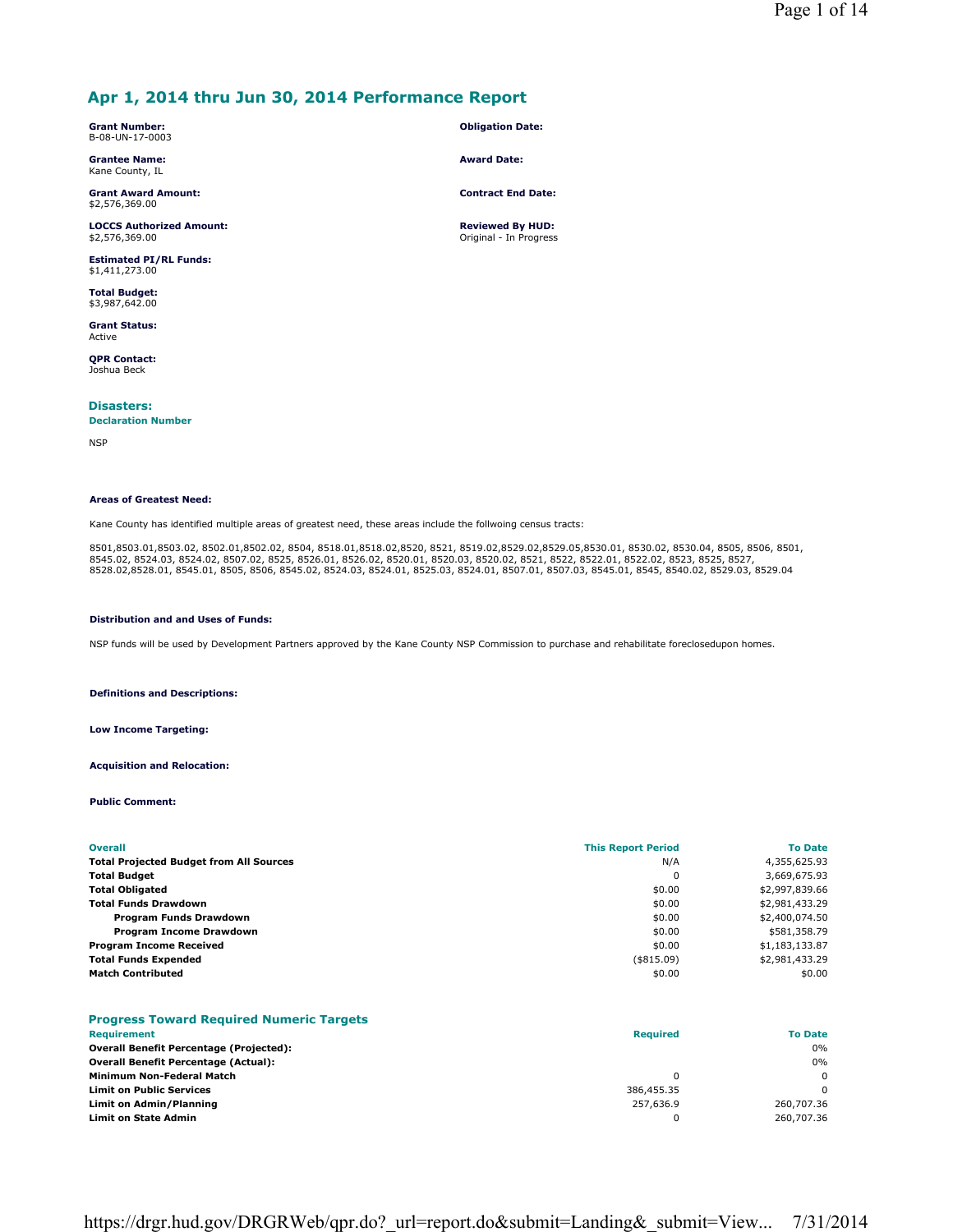# **Apr 1, 2014 thru Jun 30, 2014 Performance Report**

**Grant Number:** B-08-UN-17-0003

**Grantee Name:** Kane County, IL

**Grant Award Amount:** \$2,576,369.00

**LOCCS Authorized Amount:** \$2,576,369.00

**Estimated PI/RL Funds:** \$1,411,273.00

**Total Budget:** \$3,987,642.00

**Grant Status:** Active

**QPR Contact:** Joshua Beck

**Disasters:** 

## **Declaration Number**

NSP

#### **Areas of Greatest Need:**

Kane County has identified multiple areas of greatest need, these areas include the follwoing census tracts:

8501,8503.01,8503.02, 8502.01,8502.02, 8504, 8518.01,8518.02,8520, 8521, 8519.02,8529.02,8529.05,8530.01, 8530.02, 8530.04, 8505, 8506, 8501,<br>8545.02, 8524.03, 8524.02, 8507.02, 8525, 8526.01, 8526.02, 8520.01, 8520.03, 85

#### **Distribution and and Uses of Funds:**

NSP funds will be used by Development Partners approved by the Kane County NSP Commission to purchase and rehabilitate foreclosedupon homes.

**Definitions and Descriptions:**

#### **Low Income Targeting:**

**Acquisition and Relocation:**

**Public Comment:**

| <b>Overall</b>                                 | <b>This Report Period</b> | <b>To Date</b> |
|------------------------------------------------|---------------------------|----------------|
| <b>Total Projected Budget from All Sources</b> | N/A                       | 4,355,625.93   |
| <b>Total Budget</b>                            | 0                         | 3,669,675.93   |
| <b>Total Obligated</b>                         | \$0.00                    | \$2,997,839.66 |
| <b>Total Funds Drawdown</b>                    | \$0.00                    | \$2,981,433.29 |
| Program Funds Drawdown                         | \$0.00                    | \$2,400,074.50 |
| <b>Program Income Drawdown</b>                 | \$0.00                    | \$581,358.79   |
| <b>Program Income Received</b>                 | \$0.00                    | \$1,183,133.87 |
| <b>Total Funds Expended</b>                    | $($ \$815.09)             | \$2,981,433.29 |
| <b>Match Contributed</b>                       | \$0.00                    | \$0.00         |

## **Progress Toward Required Numeric Targets**

| Requirement                                    | <b>Required</b> | <b>To Date</b> |
|------------------------------------------------|-----------------|----------------|
| <b>Overall Benefit Percentage (Projected):</b> |                 | 0%             |
| <b>Overall Benefit Percentage (Actual):</b>    |                 | $0\%$          |
| <b>Minimum Non-Federal Match</b>               |                 | $\Omega$       |
| <b>Limit on Public Services</b>                | 386,455.35      | O              |
| Limit on Admin/Planning                        | 257,636.9       | 260,707.36     |
| Limit on State Admin                           |                 | 260,707.36     |

https://drgr.hud.gov/DRGRWeb/qpr.do?\_url=report.do&submit=Landing&\_submit=View... 7/31/2014

## **Obligation Date:**

**Award Date:**

**Contract End Date:**

**Reviewed By HUD:** Original - In Progress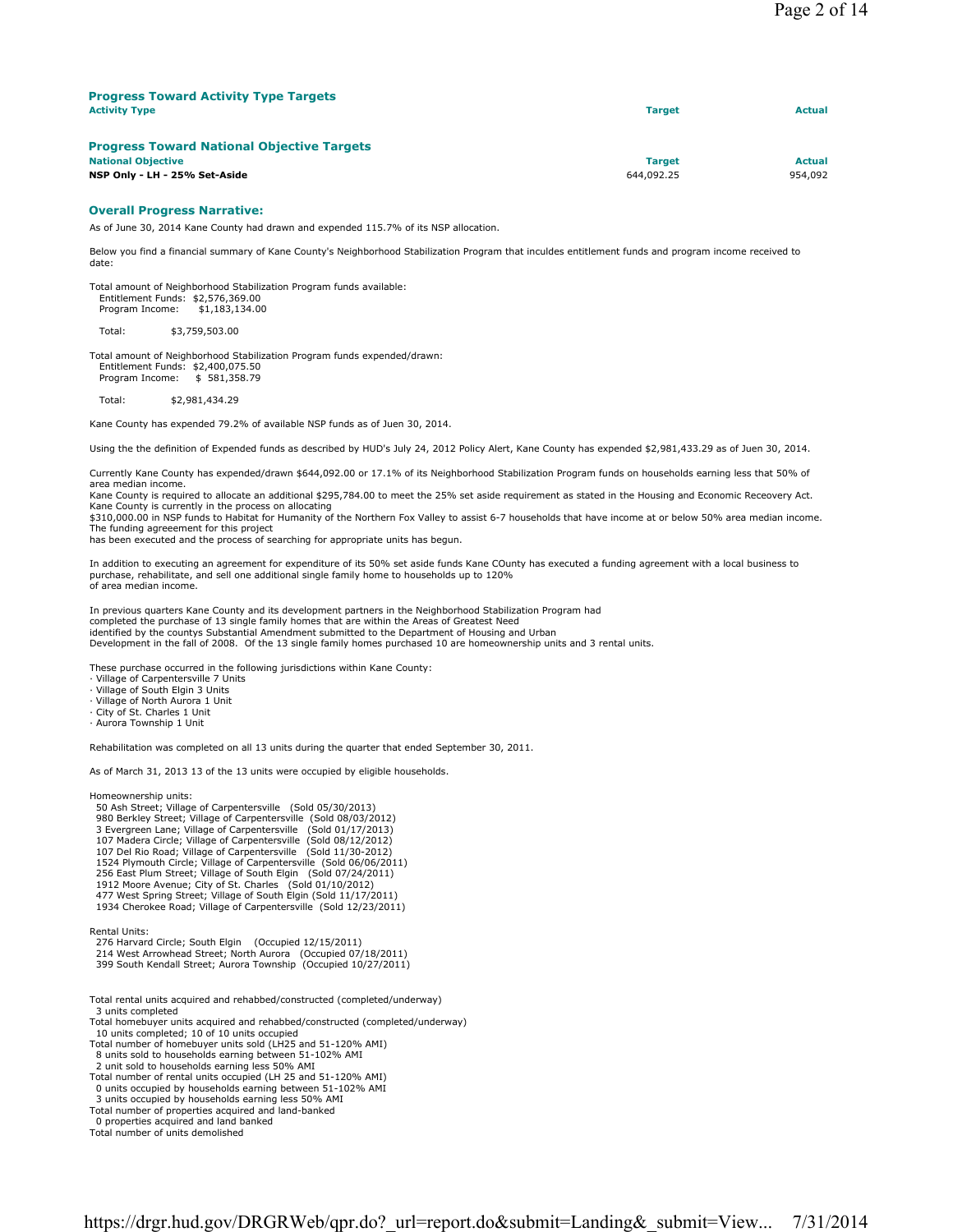| <b>Progress Toward Activity Type Targets</b>      |               |               |
|---------------------------------------------------|---------------|---------------|
| <b>Activity Type</b>                              | <b>Target</b> | <b>Actual</b> |
|                                                   |               |               |
| <b>Progress Toward National Objective Targets</b> |               |               |
| <b>National Objective</b>                         | <b>Target</b> | <b>Actual</b> |
| NSP Only - LH - 25% Set-Aside                     | 644,092.25    | 954,092       |

#### **Overall Progress Narrative:**

As of June 30, 2014 Kane County had drawn and expended 115.7% of its NSP allocation.

Below you find a financial summary of Kane County's Neighborhood Stabilization Program that inculdes entitlement funds and program income received to date:

Total amount of Neighborhood Stabilization Program funds available: Entitlement Funds: \$2,576,369.00 Program Income: \$1,183,134.00

Total: \$3,759,503.00

Total amount of Neighborhood Stabilization Program funds expended/drawn: Entitlement Funds: \$2,400,075.50<br>Program Income: \$581,358.79 Program Income:

Total: \$2,981,434.29

Kane County has expended 79.2% of available NSP funds as of Juen 30, 2014.

Using the the definition of Expended funds as described by HUD's July 24, 2012 Policy Alert, Kane County has expended \$2,981,433.29 as of Juen 30, 2014.

Currently Kane County has expended/drawn \$644,092.00 or 17.1% of its Neighborhood Stabilization Program funds on households earning less that 50% of area median income.

Kane County is required to allocate an additional \$295,784.00 to meet the 25% set aside requirement as stated in the Housing and Economic Receovery Act.

Kane County is currently in the process on allocating<br>\$310,000.00 in NSP funds to Habitat for Humanity of the Northern Fox Valley to assist 6-7 households that have income at or below 50% area median income. The funding agreeement for this project

has been executed and the process of searching for appropriate units has begun.

In addition to executing an agreement for expenditure of its 50% set aside funds Kane COunty has executed a funding agreement with a local business to purchase, rehabilitate, and sell one additional single family home to households up to 120% of area median income.

In previous quarters Kane County and its development partners in the Neighborhood Stabilization Program had completed the purchase of 13 single family homes that are within the Areas of Greatest Need identified by the countys Substantial Amendment submitted to the Department of Housing and Urban Development in the fall of 2008. Of the 13 single family homes purchased 10 are homeownership units and 3 rental units.

These purchase occurred in the following jurisdictions within Kane County:

- · Village of Carpentersville 7 Units
- · Village of South Elgin 3 Units
- · Village of North Aurora 1 Unit
- · City of St. Charles 1 Unit
- · Aurora Township 1 Unit

Rehabilitation was completed on all 13 units during the quarter that ended September 30, 2011.

As of March 31, 2013 13 of the 13 units were occupied by eligible households.

Homeownership units:

 50 Ash Street; Village of Carpentersville (Sold 05/30/2013) 980 Berkley Street; Village of Carpentersville (Sold 08/03/2012) 3 Evergreen Lane; Village of Carpentersville (Sold 01/17/2013)<br>107 Madera Circle; Village of Carpentersville (Sold 08/12/2012)<br>107 Del Rio Road; Village of Carpentersville (Sold 11/30-2012)<br>1524 Plymouth Circle; Village of 256 East Plum Street; Village of South Elgin (Sold 07/24/2011) 1912 Moore Avenue; City of St. Charles (Sold 01/10/2012) 477 West Spring Street; Village of South Elgin (Sold 11/17/2011) 1934 Cherokee Road; Village of Carpentersville (Sold 12/23/2011)

Rental Units:

276 Harvard Circle; South Elgin (Occupied 12/15/2011) 214 West Arrowhead Street; North Aurora (Occupied 07/18/2011)

399 South Kendall Street; Aurora Township (Occupied 10/27/2011)

- Total rental units acquired and rehabbed/constructed (completed/underway) 3 units completed
- Total homebuyer units acquired and rehabbed/constructed (completed/underway)

10 units completed; 10 of 10 units occupied

- Total number of homebuyer units sold (LH25 and 51-120% AMI) 8 units sold to households earning between 51-102% AMI
- 
- 2 unit sold to households earning less 50% AMI Total number of rental units occupied (LH 25 and 51-120% AMI)
- 0 units occupied by households earning between 51-102% AMI
- 3 units occupied by households earning less 50% AMI

Total number of properties acquired and land-banked 0 properties acquired and land banked

Total number of units demolished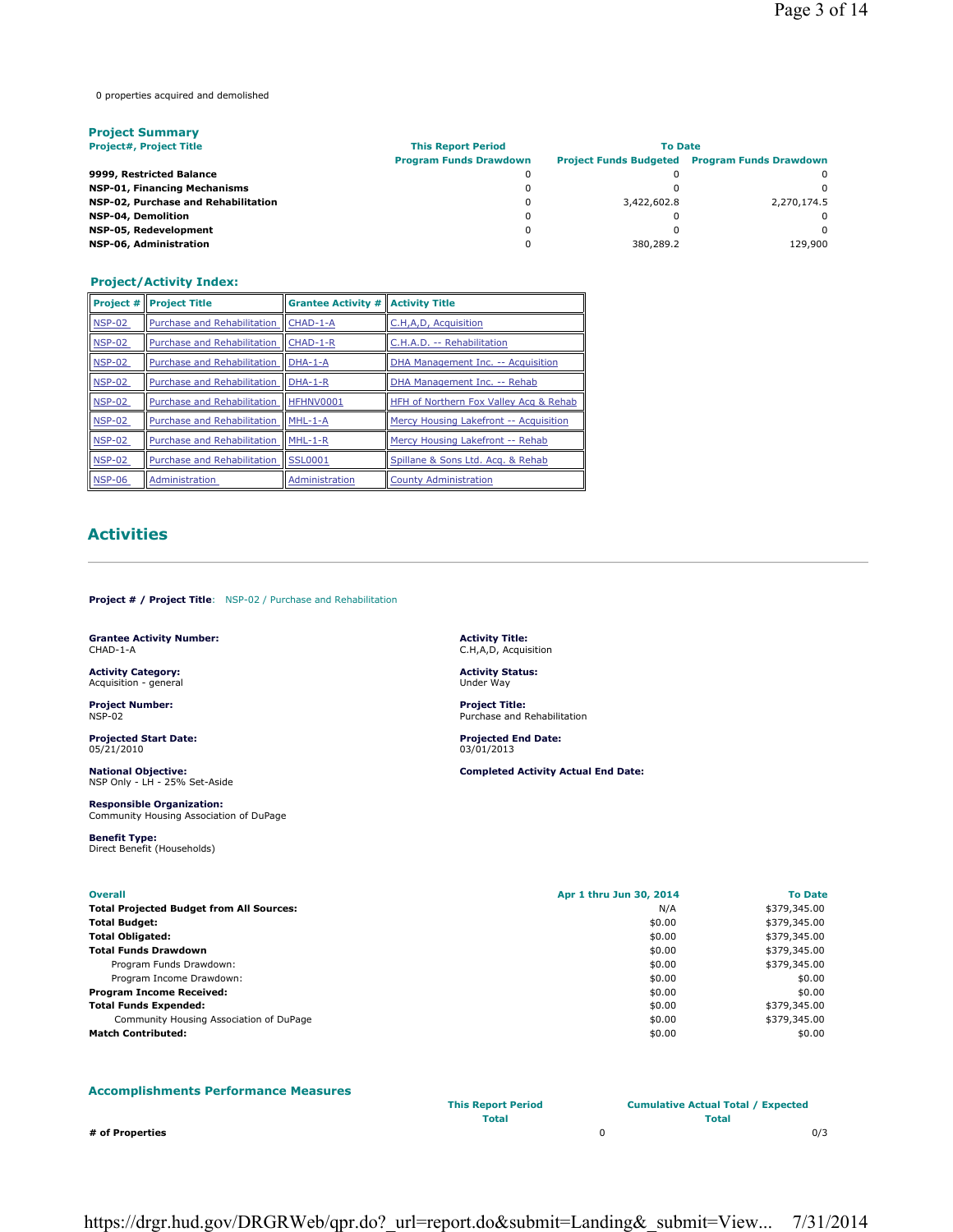0 properties acquired and demolished

| <b>Project Summary</b>              |                               |                |                                                      |  |
|-------------------------------------|-------------------------------|----------------|------------------------------------------------------|--|
| <b>Project#, Project Title</b>      | <b>This Report Period</b>     | <b>To Date</b> |                                                      |  |
|                                     | <b>Program Funds Drawdown</b> |                | <b>Project Funds Budgeted Program Funds Drawdown</b> |  |
| 9999, Restricted Balance            |                               |                | <sup>o</sup>                                         |  |
| <b>NSP-01, Financing Mechanisms</b> |                               |                | <sup>0</sup>                                         |  |
| NSP-02, Purchase and Rehabilitation |                               | 3,422,602.8    | 2.270.174.5                                          |  |
| <b>NSP-04, Demolition</b>           |                               |                | <sup>0</sup>                                         |  |
| NSP-05, Redevelopment               | 0                             |                | <sup>0</sup>                                         |  |
| NSP-06, Administration              |                               | 380,289.2      | 129,900                                              |  |

# **Project/Activity Index:**

| <b>Project #</b> | <b>Project Title</b>               | <b>Grantee Activity # Activity Title</b> |                                        |
|------------------|------------------------------------|------------------------------------------|----------------------------------------|
| <b>NSP-02</b>    | Purchase and Rehabilitation        | CHAD-1-A                                 | C.H,A,D, Acquisition                   |
| <b>NSP-02</b>    | <b>Purchase and Rehabilitation</b> | CHAD-1-R                                 | C.H.A.D. -- Rehabilitation             |
| <b>NSP-02</b>    | Purchase and Rehabilitation        | $DHA-1-A$                                | DHA Management Inc. -- Acquisition     |
| <b>NSP-02</b>    | Purchase and Rehabilitation        | DHA-1-R                                  | DHA Management Inc. -- Rehab           |
| <b>NSP-02</b>    | Purchase and Rehabilitation        | HFHNV0001                                | HFH of Northern Fox Valley Acq & Rehab |
| <b>NSP-02</b>    | Purchase and Rehabilitation        | MHL-1-A                                  | Mercy Housing Lakefront -- Acquisition |
| <b>NSP-02</b>    | Purchase and Rehabilitation        | $MHL-1-R$                                | Mercy Housing Lakefront -- Rehab       |
| <b>NSP-02</b>    | Purchase and Rehabilitation        | <b>SSL0001</b>                           | Spillane & Sons Ltd. Acq. & Rehab      |
| <b>NSP-06</b>    | Administration                     | Administration                           | <b>County Administration</b>           |

# **Activities**

**Project # / Project Title**: NSP-02 / Purchase and Rehabilitation

**Grantee Activity Number:** CHAD-1-A

**Activity Category:** Acquisition - general

**Project Number:** NSP-02

**Projected Start Date:** 05/21/2010

**National Objective:** NSP Only - LH - 25% Set-Aside

**Responsible Organization:** Community Housing Association of DuPage

**Benefit Type:** Direct Benefit (Households)

| <b>Overall</b>                                  | Apr 1 thru Jun 30, 2014 |              |
|-------------------------------------------------|-------------------------|--------------|
| <b>Total Projected Budget from All Sources:</b> | N/A                     | \$379,345.00 |
| Total Budget:                                   | \$0.00                  | \$379,345.00 |
| Total Obligated:                                | \$0.00                  | \$379,345.00 |
| <b>Total Funds Drawdown</b>                     | \$0.00                  | \$379,345.00 |
| Program Funds Drawdown:                         | \$0.00                  | \$379,345.00 |
| Program Income Drawdown:                        | \$0.00                  | \$0.00       |
| Program Income Received:                        | \$0.00                  | \$0.00       |
| <b>Total Funds Expended:</b>                    | \$0.00                  | \$379,345.00 |
| Community Housing Association of DuPage         | \$0.00                  | \$379,345.00 |
| <b>Match Contributed:</b>                       | \$0.00                  | \$0.00       |

# **Accomplishments Performance Measures**

**Activity Title:** C.H,A,D, Acquisition **Activity Status:** Under Way **Project Title:**

Purchase and Rehabilitation

**Completed Activity Actual End Date:**

**Projected End Date:** 03/01/2013

**This Report Period Cumulative Actual Total / Expected Total Total**

**# of Properties** 0 0/3

https://drgr.hud.gov/DRGRWeb/qpr.do?\_url=report.do&submit=Landing&\_submit=View... 7/31/2014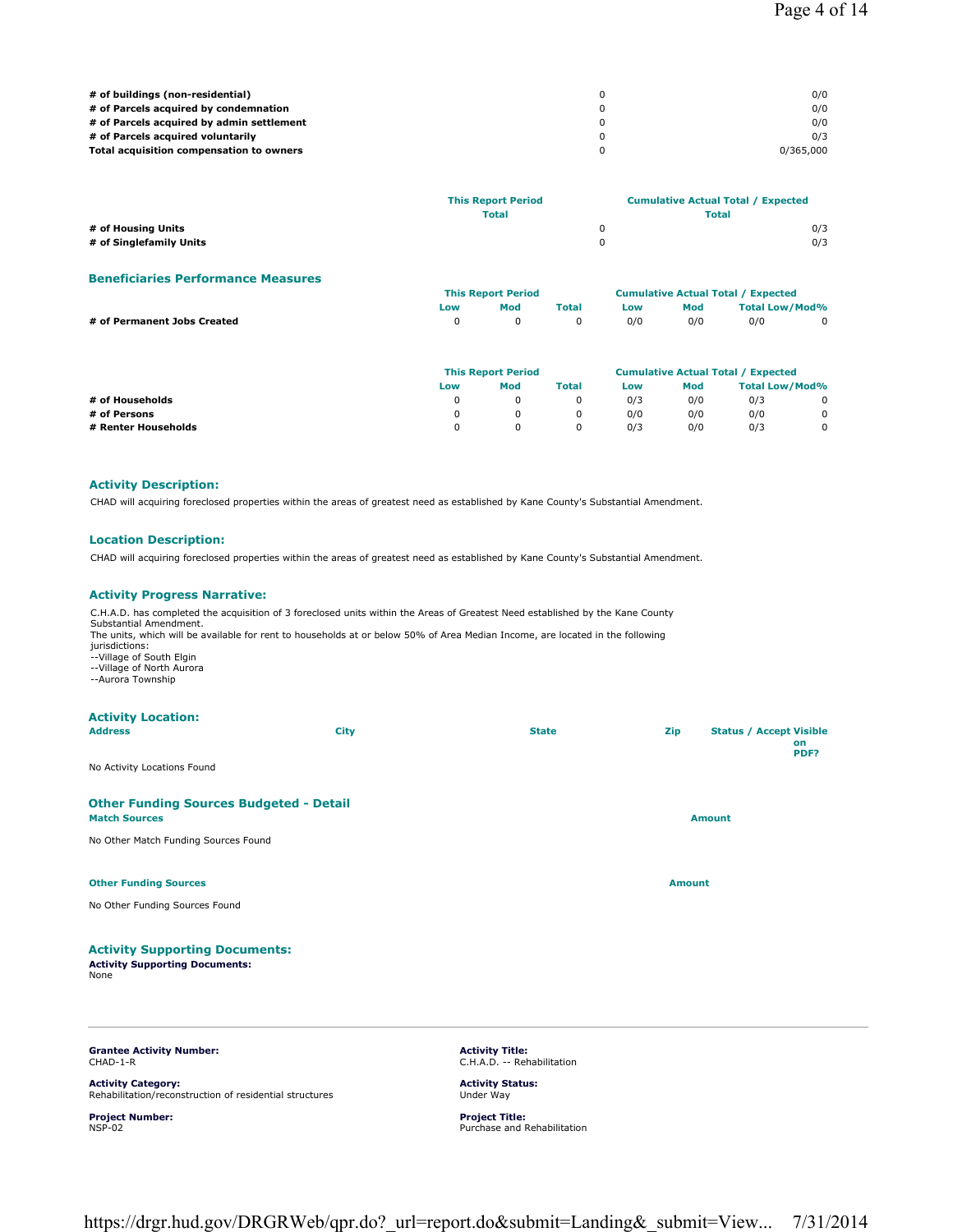| # of buildings (non-residential)          | 0/0       |
|-------------------------------------------|-----------|
| # of Parcels acquired by condemnation     | 0/0       |
| # of Parcels acquired by admin settlement | 0/0       |
| # of Parcels acquired voluntarily         | 0/3       |
| Total acquisition compensation to owners  | 0/365,000 |

|                         | <b>This Report Period</b><br><b>Total</b> | <b>Cumulative Actual Total / Expected</b><br>Total |  |
|-------------------------|-------------------------------------------|----------------------------------------------------|--|
| # of Housing Units      |                                           | 0/3                                                |  |
| # of Singlefamily Units |                                           | 0/3                                                |  |

#### **Beneficiaries Performance Measures**

|                             | <b>This Report Period</b> |          |       | <b>Cumulative Actual Total / Expected</b> |     |                       |  |
|-----------------------------|---------------------------|----------|-------|-------------------------------------------|-----|-----------------------|--|
|                             | Low                       | Mod      | Total | Low                                       | Mod | <b>Total Low/Mod%</b> |  |
| # of Permanent Jobs Created |                           | $\Omega$ |       | 0/0                                       | 0/0 | 0/0                   |  |
|                             |                           |          |       |                                           |     |                       |  |

|                     | <b>This Report Period</b> |     |              | <b>Cumulative Actual Total / Expected</b> |     |                |   |
|---------------------|---------------------------|-----|--------------|-------------------------------------------|-----|----------------|---|
|                     | Low                       | Mod | <b>Total</b> | Low                                       | Mod | Total Low/Mod% |   |
| # of Households     |                           |     |              | 0/3                                       | 0/0 | 0/3            | 0 |
| # of Persons        |                           |     |              | 0/0                                       | 0/0 | 0/0            | 0 |
| # Renter Households |                           |     | 0            | 0/3                                       | 0/0 | 0/3            | 0 |

### **Activity Description:**

CHAD will acquiring foreclosed properties within the areas of greatest need as established by Kane County's Substantial Amendment.

## **Location Description:**

CHAD will acquiring foreclosed properties within the areas of greatest need as established by Kane County's Substantial Amendment.

### **Activity Progress Narrative:**

| <b>Grantee Activity Number:</b>                                                                                        |      | <b>Activity Title:</b><br>the contract of the state of the con-                                                                                                                                                                                                |               |                                      |
|------------------------------------------------------------------------------------------------------------------------|------|----------------------------------------------------------------------------------------------------------------------------------------------------------------------------------------------------------------------------------------------------------------|---------------|--------------------------------------|
| <b>Activity Supporting Documents:</b><br><b>Activity Supporting Documents:</b><br>None                                 |      |                                                                                                                                                                                                                                                                |               |                                      |
| No Other Funding Sources Found                                                                                         |      |                                                                                                                                                                                                                                                                |               |                                      |
| <b>Other Funding Sources</b>                                                                                           |      |                                                                                                                                                                                                                                                                | <b>Amount</b> |                                      |
| No Other Match Funding Sources Found                                                                                   |      |                                                                                                                                                                                                                                                                |               |                                      |
| <b>Other Funding Sources Budgeted - Detail</b><br><b>Match Sources</b>                                                 |      |                                                                                                                                                                                                                                                                |               | <b>Amount</b>                        |
| No Activity Locations Found                                                                                            |      |                                                                                                                                                                                                                                                                |               | PDF?                                 |
| <b>Activity Location:</b><br><b>Address</b>                                                                            | City | <b>State</b>                                                                                                                                                                                                                                                   | Zip           | <b>Status / Accept Visible</b><br>on |
| Substantial Amendment.<br>jurisdictions:<br>--Village of South Elgin<br>--Village of North Aurora<br>--Aurora Township |      | C.H.A.D. has completed the acquisition of 3 foreclosed units within the Areas of Greatest Need established by the Kane County<br>The units, which will be available for rent to households at or below 50% of Area Median Income, are located in the following |               |                                      |
|                                                                                                                        |      |                                                                                                                                                                                                                                                                |               |                                      |

CHAD-1-R

**Activity Category:** Rehabilitation/reconstruction of residential structures

**Project Number:** NSP-02

C.H.A.D. -- Rehabilitation

**Activity Status:** Under Way

**Project Title:** Purchase and Rehabilitation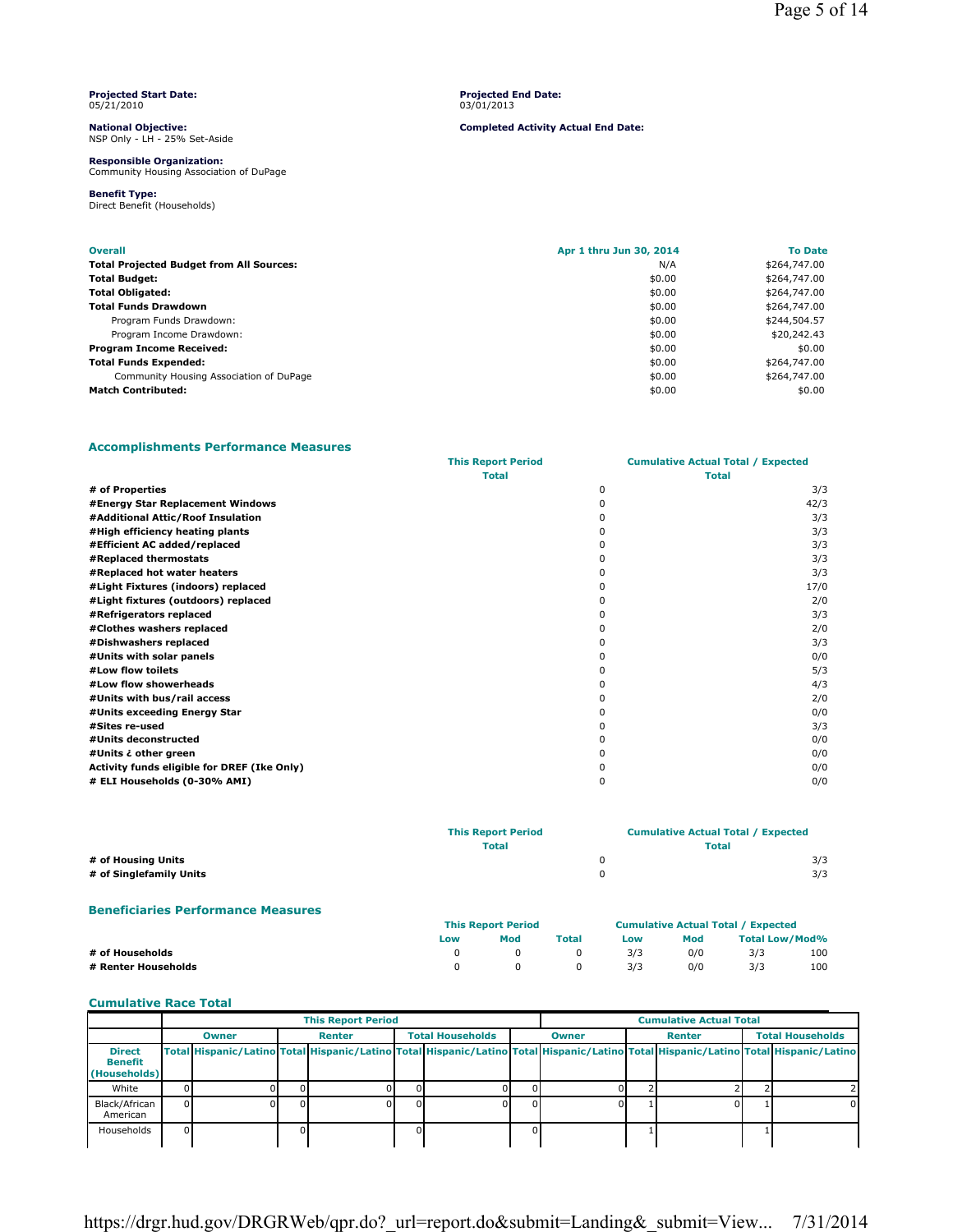#### **Projected Start Date:** 05/21/2010

**National Objective:** NSP Only - LH - 25% Set-Aside

**Responsible Organization:** Community Housing Association of DuPage

**Benefit Type:** Direct Benefit (Households) **Projected End Date:** 03/01/2013

**Completed Activity Actual End Date:**

**Overall Apr 1 thru Jun 30, 2014 To Date Total Projected Budget from All Sources:** N/A  $N/A$ **Total Budget:** \$0.00 \$264,747.00 **Total Obligated:** \$0.00 \$264,747.00 **Total Funds Drawdown**  $\approx 0.00$ Program Funds Drawdown: **\$244,504.57** and \$244,504.57 and \$2.00 \$244,504.57 and \$2.00 \$244,504.57 and \$2.00 \$2.00 Program Income Drawdown:  $$20,242.43$ **Program Income Received:**  $\approx 0.00$  \$0.00 \$0.00 \$0.00 **Total Funds Expended:**  $\text{\$264,747.00}$ Community Housing Association of DuPage  $$264,747.00$   $$264,747.00$ **Match Contributed:**  $\text{\$0.00}\tag{0.00}$ 

# **Accomplishments Performance Measures**

|                                             | <b>This Report Period</b> | <b>Cumulative Actual Total / Expected</b> |      |
|---------------------------------------------|---------------------------|-------------------------------------------|------|
|                                             | <b>Total</b>              | <b>Total</b>                              |      |
| # of Properties                             |                           | 0                                         | 3/3  |
| #Energy Star Replacement Windows            |                           | n                                         | 42/3 |
| #Additional Attic/Roof Insulation           |                           |                                           | 3/3  |
| #High efficiency heating plants             |                           |                                           | 3/3  |
| #Efficient AC added/replaced                |                           |                                           | 3/3  |
| #Replaced thermostats                       |                           |                                           | 3/3  |
| #Replaced hot water heaters                 |                           |                                           | 3/3  |
| #Light Fixtures (indoors) replaced          |                           |                                           | 17/0 |
| #Light fixtures (outdoors) replaced         |                           |                                           | 2/0  |
| #Refrigerators replaced                     |                           |                                           | 3/3  |
| #Clothes washers replaced                   |                           |                                           | 2/0  |
| #Dishwashers replaced                       |                           |                                           | 3/3  |
| #Units with solar panels                    |                           |                                           | 0/0  |
| #Low flow toilets                           |                           |                                           | 5/3  |
| #Low flow showerheads                       |                           |                                           | 4/3  |
| #Units with bus/rail access                 |                           |                                           | 2/0  |
| #Units exceeding Energy Star                |                           |                                           | 0/0  |
| #Sites re-used                              |                           |                                           | 3/3  |
| #Units deconstructed                        |                           |                                           | 0/0  |
| #Units ¿ other green                        |                           |                                           | 0/0  |
| Activity funds eligible for DREF (Ike Only) |                           |                                           | 0/0  |
| # ELI Households (0-30% AMI)                |                           | ŋ                                         | 0/0  |

|                                           | <b>This Report Period</b> |              |              |        | <b>Cumulative Actual Total / Expected</b> |                                           |
|-------------------------------------------|---------------------------|--------------|--------------|--------|-------------------------------------------|-------------------------------------------|
|                                           |                           | <b>Total</b> |              |        | <b>Total</b>                              |                                           |
| # of Housing Units                        |                           |              |              | 0      |                                           | 3/3                                       |
| # of Singlefamily Units                   |                           |              |              | 0      |                                           | 3/3                                       |
| <b>Beneficiaries Performance Measures</b> |                           |              |              |        |                                           |                                           |
|                                           | <b>This Report Period</b> |              |              |        |                                           | <b>Cumulative Actual Total / Expected</b> |
|                                           | .                         | <b>Mod</b>   | <b>Total</b> | $\sim$ | <b>Mod</b>                                | Total Low /Mod04                          |

|                     | ∟ow | moa      | Total                   | LOW | моа |     | Total Low/Mod% |
|---------------------|-----|----------|-------------------------|-----|-----|-----|----------------|
| # of Households     |     | $\Omega$ | $\overline{0}$          | 3/3 | 0/0 | 3/3 | 100            |
| # Renter Households |     | $\Omega$ | $\overline{\mathbf{0}}$ | 3/3 | 0/0 | 3/3 | 100            |

# **Cumulative Race Total**

|                                          | <b>This Report Period</b> |              |  |        |    |                         | <b>Cumulative Actual Total</b> |              |  |  |  |                                                                                                                                     |  |  |  |        |  |                         |
|------------------------------------------|---------------------------|--------------|--|--------|----|-------------------------|--------------------------------|--------------|--|--|--|-------------------------------------------------------------------------------------------------------------------------------------|--|--|--|--------|--|-------------------------|
|                                          |                           | <b>Owner</b> |  | Renter |    | <b>Total Households</b> |                                | <b>Owner</b> |  |  |  |                                                                                                                                     |  |  |  | Renter |  | <b>Total Households</b> |
| <b>Direct</b><br>Benefit<br>(Households) |                           |              |  |        |    |                         |                                |              |  |  |  | Total Hispanic/Latino Total Hispanic/Latino Total Hispanic/Latino Total Hispanic/Latino Total Hispanic/Latino Total Hispanic/Latino |  |  |  |        |  |                         |
| White                                    |                           |              |  |        |    |                         |                                |              |  |  |  |                                                                                                                                     |  |  |  |        |  |                         |
| Black/African<br>American                | ΩI                        |              |  |        | ΩI |                         |                                |              |  |  |  |                                                                                                                                     |  |  |  |        |  |                         |
| Households                               |                           |              |  |        |    |                         |                                |              |  |  |  |                                                                                                                                     |  |  |  |        |  |                         |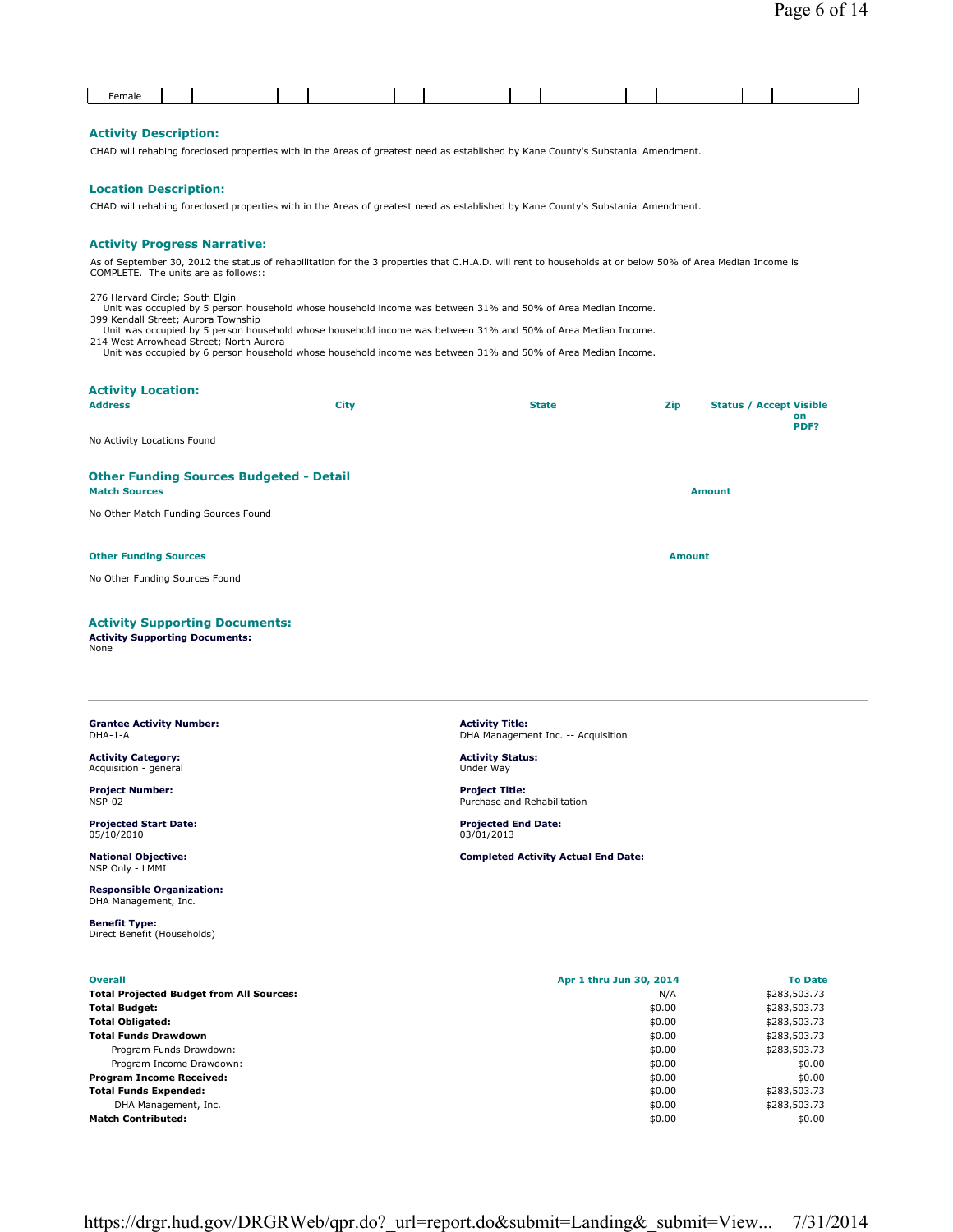### **Activity Description:**

CHAD will rehabing foreclosed properties with in the Areas of greatest need as established by Kane County's Substanial Amendment.

## **Location Description:**

CHAD will rehabing foreclosed properties with in the Areas of greatest need as established by Kane County's Substanial Amendment.

#### **Activity Progress Narrative:**

As of September 30, 2012 the status of rehabilitation for the 3 properties that C.H.A.D. will rent to households at or below 50% of Area Median Income is COMPLETE. The units are as follows::

276 Harvard Circle; South Elgin Unit was occupied by 5 person household whose household income was between 31% and 50% of Area Median Income.

399 Kendall Street; Aurora Township Unit was occupied by 5 person household whose household income was between 31% and 50% of Area Median Income.

214 West Arrowhead Street; North Aurora

Unit was occupied by 6 person household whose household income was between 31% and 50% of Area Median Income.

| <b>Activity Location:</b><br><b>Address</b>                                             | <b>City</b> | <b>State</b> | Zip           | <b>Status / Accept Visible</b><br>on<br>PDF? |  |  |
|-----------------------------------------------------------------------------------------|-------------|--------------|---------------|----------------------------------------------|--|--|
| No Activity Locations Found                                                             |             |              |               |                                              |  |  |
| <b>Other Funding Sources Budgeted - Detail</b><br><b>Match Sources</b><br><b>Amount</b> |             |              |               |                                              |  |  |
| No Other Match Funding Sources Found                                                    |             |              |               |                                              |  |  |
| <b>Other Funding Sources</b>                                                            |             |              | <b>Amount</b> |                                              |  |  |
| No Other Funding Sources Found                                                          |             |              |               |                                              |  |  |
|                                                                                         |             |              |               |                                              |  |  |

#### **Activity Supporting Documents:**

**Activity Supporting Documents:** None

#### **Grantee Activity Number:** DHA-1-A

**Activity Category:** Acquisition - general

**Project Number:** NSP-02

**Projected Start Date:** 05/10/2010

**National Objective:** NSP Only - LMMI

**Responsible Organization:** DHA Management, Inc.

**Benefit Type:** Direct Benefit (Households)

| <b>Project Title:</b>       |  |
|-----------------------------|--|
| Purchase and Rehabilitation |  |

**Activity Title:** DHA Management Inc. -- Acquisition

**Projected End Date:** 03/01/2013

**Activity Status:** Under Way

**Completed Activity Actual End Date:**

| <b>Overall</b>                                  | Apr 1 thru Jun 30, 2014 | <b>To Date</b> |
|-------------------------------------------------|-------------------------|----------------|
| <b>Total Projected Budget from All Sources:</b> | N/A                     | \$283,503.73   |
| Total Budget:                                   | \$0.00                  | \$283,503.73   |
| Total Obligated:                                | \$0.00                  | \$283,503.73   |
| Total Funds Drawdown                            | \$0.00                  | \$283,503.73   |
| Program Funds Drawdown:                         | \$0.00                  | \$283,503.73   |
| Program Income Drawdown:                        | \$0.00                  | \$0.00         |
| <b>Program Income Received:</b>                 | \$0.00                  | \$0.00         |
| <b>Total Funds Expended:</b>                    | \$0.00                  | \$283,503.73   |
| DHA Management, Inc.                            | \$0.00                  | \$283,503.73   |
| <b>Match Contributed:</b>                       | \$0.00                  | \$0.00         |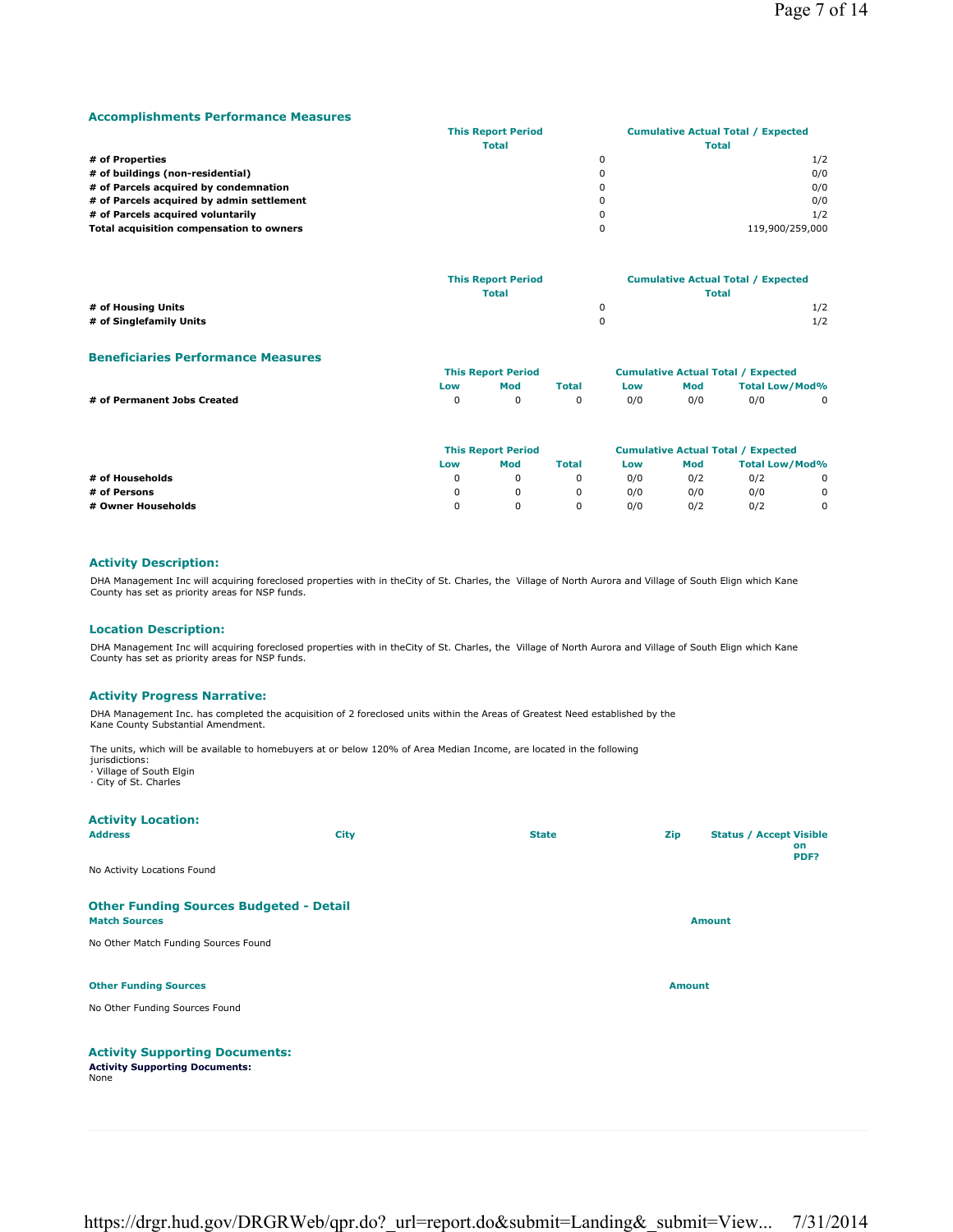### **Accomplishments Performance Measures**

|                                           | <b>This Report Period</b> |   | <b>Cumulative Actual Total / Expected</b> |
|-------------------------------------------|---------------------------|---|-------------------------------------------|
|                                           | <b>Total</b>              |   | <b>Total</b>                              |
| # of Properties                           |                           |   | 1/2                                       |
| # of buildings (non-residential)          |                           | 0 | 0/0                                       |
| # of Parcels acquired by condemnation     |                           |   | 0/0                                       |
| # of Parcels acquired by admin settlement |                           | 0 | 0/0                                       |
| # of Parcels acquired voluntarily         |                           | 0 | 1/2                                       |
| Total acquisition compensation to owners  |                           |   | 119,900/259,000                           |
|                                           |                           |   |                                           |

|                         | <b>This Report Period</b> | <b>Cumulative Actual Total / Expected</b> |  |
|-------------------------|---------------------------|-------------------------------------------|--|
|                         | <b>Total</b>              | <b>Total</b>                              |  |
| # of Housing Units      |                           | 1/2                                       |  |
| # of Singlefamily Units |                           | 1/2                                       |  |

## **Beneficiaries Performance Measures**

|                             | <b>This Report Period</b> |                |              | <b>Cumulative Actual Total / Expected</b> |     |                       |             |
|-----------------------------|---------------------------|----------------|--------------|-------------------------------------------|-----|-----------------------|-------------|
|                             | Low                       | Mod            | <b>Total</b> | Low                                       | Mod | <b>Total Low/Mod%</b> |             |
| # of Permanent Jobs Created |                           | $\overline{0}$ | $\Omega$     | 0/0                                       | 0/0 | 0/0                   | $\mathbf 0$ |

|                    | <b>This Report Period</b> |     |              | <b>Cumulative Actual Total / Expected</b> |     |                       |  |
|--------------------|---------------------------|-----|--------------|-------------------------------------------|-----|-----------------------|--|
|                    | Low                       | Mod | <b>Total</b> | Low                                       | Mod | <b>Total Low/Mod%</b> |  |
| # of Households    |                           |     |              | 0/0                                       | 0/2 | 0/2                   |  |
| # of Persons       |                           |     |              | 0/0                                       | 0/0 | 0/0                   |  |
| # Owner Households |                           |     |              | 0/0                                       | 0/2 | 0/2                   |  |

# **Activity Description:**

DHA Management Inc will acquiring foreclosed properties with in theCity of St. Charles, the Village of North Aurora and Village of South Elign which Kane County has set as priority areas for NSP funds.

### **Location Description:**

DHA Management Inc will acquiring foreclosed properties with in theCity of St. Charles, the Village of North Aurora and Village of South Elign which Kane County has set as priority areas for NSP funds.

#### **Activity Progress Narrative:**

DHA Management Inc. has completed the acquisition of 2 foreclosed units within the Areas of Greatest Need established by the Kane County Substantial Amendment.

The units, which will be available to homebuyers at or below 120% of Area Median Income, are located in the following jurisdictions:

· Village of South Elgin · City of St. Charles

| <b>Activity Location:</b><br><b>Address</b>                                            | City | <b>State</b> | Zip           | <b>Status / Accept Visible</b><br>on<br>PDF? |
|----------------------------------------------------------------------------------------|------|--------------|---------------|----------------------------------------------|
| No Activity Locations Found                                                            |      |              |               |                                              |
| <b>Other Funding Sources Budgeted - Detail</b><br><b>Match Sources</b>                 |      |              |               | <b>Amount</b>                                |
| No Other Match Funding Sources Found                                                   |      |              |               |                                              |
| <b>Other Funding Sources</b>                                                           |      |              | <b>Amount</b> |                                              |
| No Other Funding Sources Found                                                         |      |              |               |                                              |
| <b>Activity Supporting Documents:</b><br><b>Activity Supporting Documents:</b><br>None |      |              |               |                                              |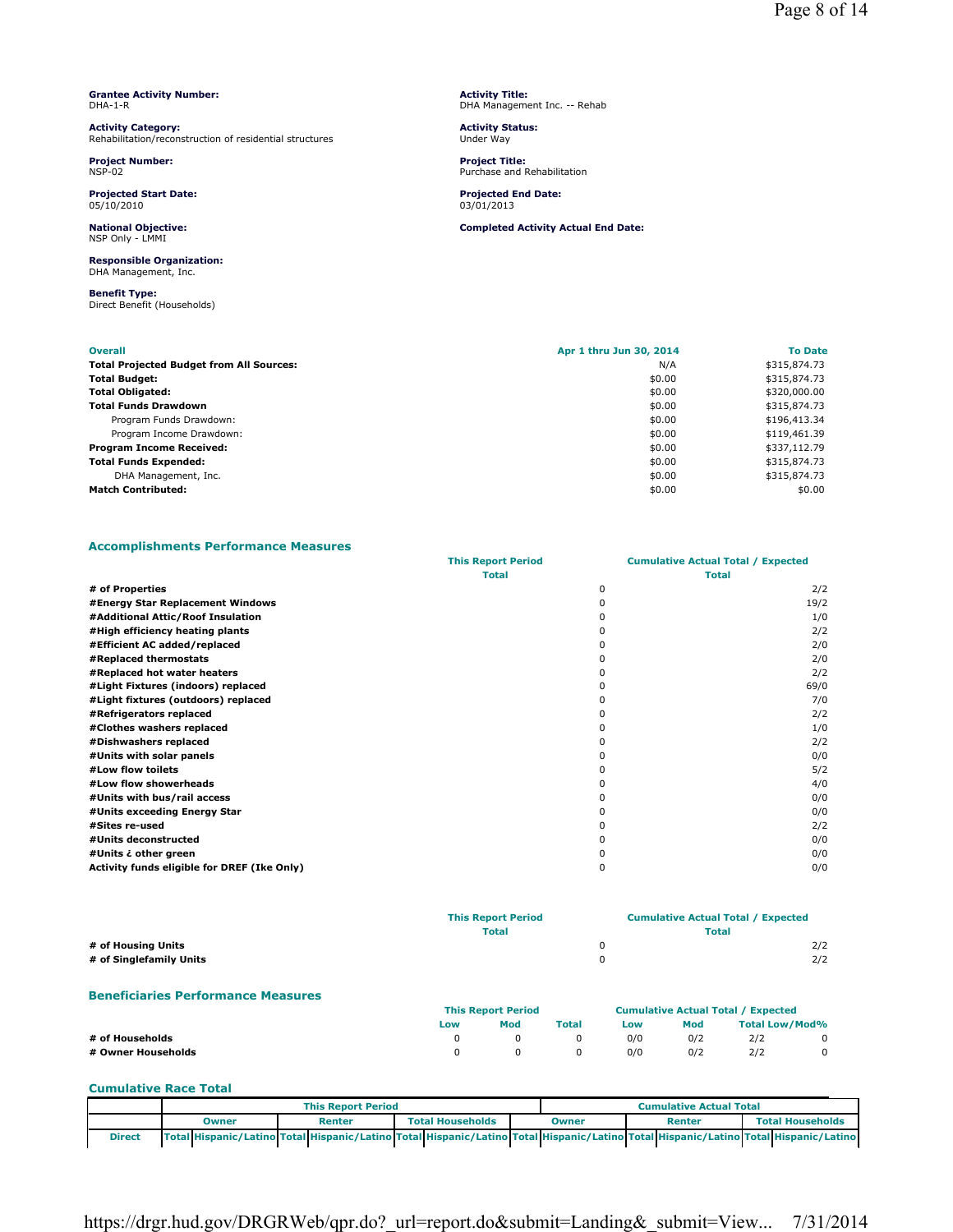|         | <b>Grantee Activity Number:</b> |
|---------|---------------------------------|
| DHA-1-R |                                 |

**Activity Category:** Rehabilitation/reconstruction of residential structures

**Project Number:** NSP-02

**Projected Start Date:** 05/10/2010

**National Objective:** NSP Only - LMMI

#### **Responsible Organization:** DHA Management, Inc.

**Benefit Type:** Direct Benefit (Households)

**Activity Title:** DHA Management Inc. -- Rehab

**Activity Status:** Under Way

**Project Title:** Purchase and Rehabilitation

**Projected End Date:** 03/01/2013

**Completed Activity Actual End Date:**

| <b>Overall</b>                                  | Apr 1 thru Jun 30, 2014 | <b>To Date</b> |
|-------------------------------------------------|-------------------------|----------------|
| <b>Total Projected Budget from All Sources:</b> | N/A                     | \$315,874.73   |
| <b>Total Budget:</b>                            | \$0.00                  | \$315,874.73   |
| <b>Total Obligated:</b>                         | \$0.00                  | \$320,000.00   |
| <b>Total Funds Drawdown</b>                     | \$0.00                  | \$315,874.73   |
| Program Funds Drawdown:                         | \$0.00                  | \$196,413.34   |
| Program Income Drawdown:                        | \$0.00                  | \$119,461.39   |
| <b>Program Income Received:</b>                 | \$0.00                  | \$337,112.79   |
| <b>Total Funds Expended:</b>                    | \$0.00                  | \$315,874.73   |
| DHA Management, Inc.                            | \$0.00                  | \$315,874.73   |
| <b>Match Contributed:</b>                       | \$0.00                  | \$0.00         |

## **Accomplishments Performance Measures**

|                                             | <b>This Report Period</b> | <b>Cumulative Actual Total / Expected</b> |              |  |
|---------------------------------------------|---------------------------|-------------------------------------------|--------------|--|
|                                             | <b>Total</b>              |                                           | <b>Total</b> |  |
| # of Properties                             |                           | 0                                         | 2/2          |  |
| #Energy Star Replacement Windows            |                           | <sup>0</sup>                              | 19/2         |  |
| #Additional Attic/Roof Insulation           |                           | <sup>0</sup>                              | 1/0          |  |
| #High efficiency heating plants             |                           |                                           | 2/2          |  |
| #Efficient AC added/replaced                |                           |                                           | 2/0          |  |
| #Replaced thermostats                       |                           |                                           | 2/0          |  |
| #Replaced hot water heaters                 |                           | <sup>0</sup>                              | 2/2          |  |
| #Light Fixtures (indoors) replaced          |                           |                                           | 69/0         |  |
| #Light fixtures (outdoors) replaced         |                           |                                           | 7/0          |  |
| #Refrigerators replaced                     |                           |                                           | 2/2          |  |
| #Clothes washers replaced                   |                           |                                           | 1/0          |  |
| #Dishwashers replaced                       |                           | n.                                        | 2/2          |  |
| #Units with solar panels                    |                           |                                           | 0/0          |  |
| #Low flow toilets                           |                           |                                           | 5/2          |  |
| #Low flow showerheads                       |                           | <sup>0</sup>                              | 4/0          |  |
| #Units with bus/rail access                 |                           |                                           | 0/0          |  |
| #Units exceeding Energy Star                |                           |                                           | 0/0          |  |
| #Sites re-used                              |                           |                                           | 2/2          |  |
| #Units deconstructed                        |                           |                                           | 0/0          |  |
| #Units ¿ other green                        |                           |                                           | 0/0          |  |
| Activity funds eligible for DREF (Ike Only) |                           | 0                                         | 0/0          |  |

|                         | <b>This Report Period</b> | <b>Cumulative Actual Total / Expected</b> |     |  |
|-------------------------|---------------------------|-------------------------------------------|-----|--|
|                         | <b>Total</b>              | <b>Total</b>                              |     |  |
| # of Housing Units      |                           |                                           | 2/2 |  |
| # of Singlefamily Units |                           |                                           | 2/2 |  |
|                         |                           |                                           |     |  |

## **Beneficiaries Performance Measures**

|                    |     | <b>This Report Period</b> |       |     | <b>Cumulative Actual Total / Expected</b> |                       |  |  |
|--------------------|-----|---------------------------|-------|-----|-------------------------------------------|-----------------------|--|--|
|                    | Low | Mod                       | Total | Low | Mod                                       | <b>Total Low/Mod%</b> |  |  |
| # of Households    |     |                           |       | 0/0 | 0/2                                       | 2/2                   |  |  |
| # Owner Households |     |                           |       | 0/0 | 0/2                                       | 2/2                   |  |  |

### **Cumulative Race Total**

|               |                                                                                                                                     | <b>This Report Period</b> |                         | <b>Cumulative Actual Total</b> |                        |  |                         |  |  |
|---------------|-------------------------------------------------------------------------------------------------------------------------------------|---------------------------|-------------------------|--------------------------------|------------------------|--|-------------------------|--|--|
|               | Owner                                                                                                                               | Renter                    | <b>Total Households</b> |                                | <b>Renter</b><br>Owner |  | <b>Total Households</b> |  |  |
| <b>Direct</b> | Total Hispanic/Latino Total Hispanic/Latino Total Hispanic/Latino Total Hispanic/Latino Total Hispanic/Latino Total Hispanic/Latino |                           |                         |                                |                        |  |                         |  |  |

https://drgr.hud.gov/DRGRWeb/qpr.do? url=report.do&submit=Landing& submit=View... 7/31/2014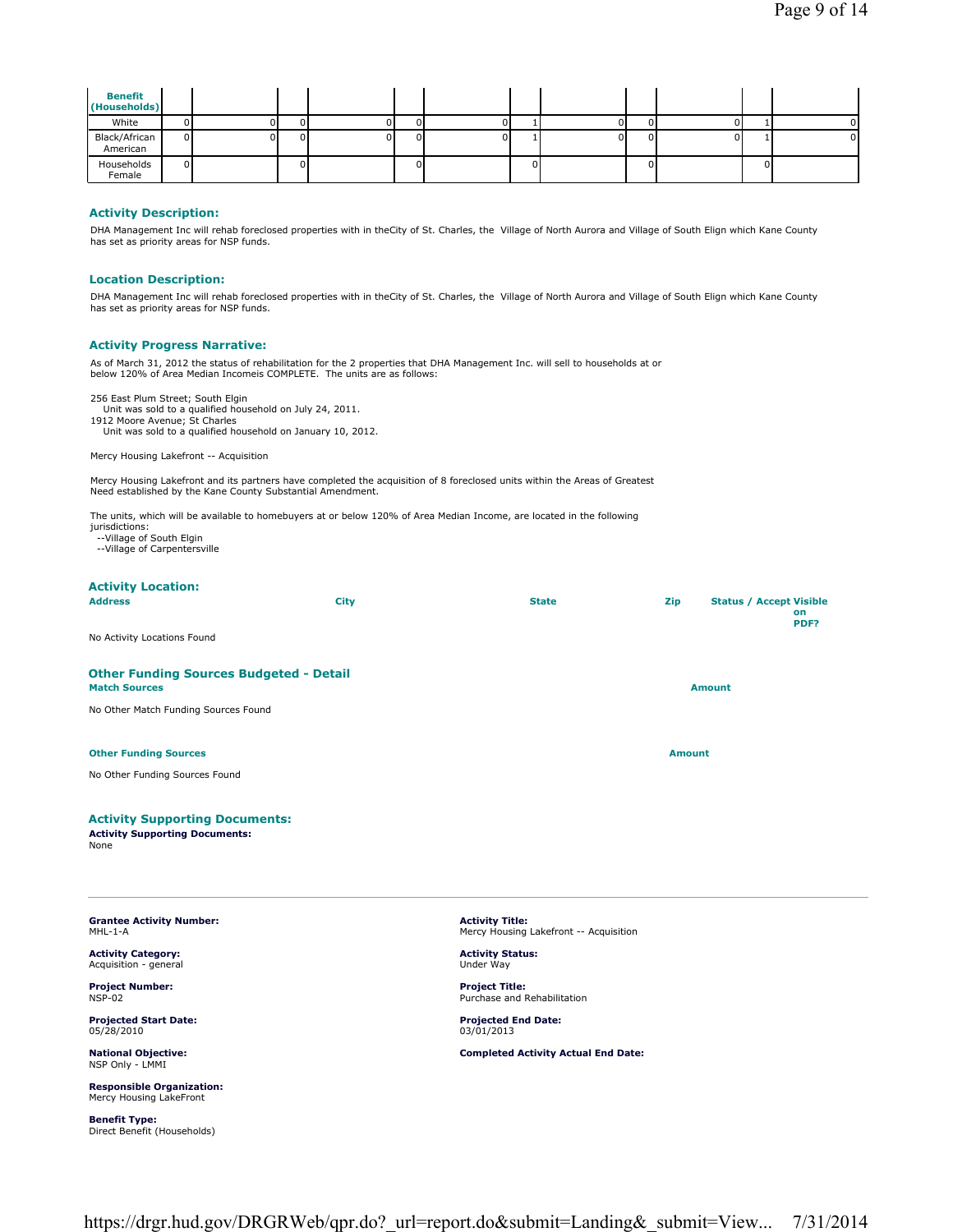| <b>Benefit</b><br>(Households) |                |    |  |   |    |  |    |  |    |
|--------------------------------|----------------|----|--|---|----|--|----|--|----|
| White                          |                | DІ |  |   | υı |  |    |  | ΩI |
| Black/African<br>American      | 0I             | ΩL |  | U | ΩL |  | ΩI |  | ΩI |
| Households<br>Female           | $\overline{0}$ |    |  |   |    |  | n. |  |    |

#### **Activity Description:**

DHA Management Inc will rehab foreclosed properties with in theCity of St. Charles, the Village of North Aurora and Village of South Elign which Kane County has set as priority areas for NSP funds.

#### **Location Description:**

DHA Management Inc will rehab foreclosed properties with in theCity of St. Charles, the Village of North Aurora and Village of South Elign which Kane County has set as priority areas for NSP funds.

#### **Activity Progress Narrative:**

As of March 31, 2012 the status of rehabilitation for the 2 properties that DHA Management Inc. will sell to households at or below 120% of Area Median Incomeis COMPLETE. The units are as follows:

256 East Plum Street; South Elgin

Unit was sold to a qualified household on July 24, 2011.

1912 Moore Avenue; St Charles Unit was sold to a qualified household on January 10, 2012.

Mercy Housing Lakefront -- Acquisition

Mercy Housing Lakefront and its partners have completed the acquisition of 8 foreclosed units within the Areas of Greatest Need established by the Kane County Substantial Amendment.

The units, which will be available to homebuyers at or below 120% of Area Median Income, are located in the following

- jurisdictions:
- --Village of South Elgin
- --Village of Carpentersville

# **Activity Location:**

| <b>Address</b>                                                         | City | <b>State</b> | Zip           | <b>Status / Accept Visible</b><br>on<br>PDF? |
|------------------------------------------------------------------------|------|--------------|---------------|----------------------------------------------|
| No Activity Locations Found                                            |      |              |               |                                              |
| <b>Other Funding Sources Budgeted - Detail</b><br><b>Match Sources</b> |      |              |               | <b>Amount</b>                                |
| No Other Match Funding Sources Found                                   |      |              |               |                                              |
| <b>Other Funding Sources</b>                                           |      |              | <b>Amount</b> |                                              |
| No Other Funding Sources Found                                         |      |              |               |                                              |
| <b>Activity Supporting Documents:</b>                                  |      |              |               |                                              |

**Activity Supporting Documents:**

None

**Grantee Activity Number:** MHL-1-A

**Activity Category:** Acquisition - general

**Project Number:** NSP-02

**Projected Start Date:** 05/28/2010

**National Objective:** NSP Only - LMMI

**Responsible Organization:** Mercy Housing LakeFront

**Benefit Type:** Direct Benefit (Households)

**Activity Title:** Mercy Housing Lakefront -- Acquisition

**Activity Status:** Under Way

**Project Title:** Purchase and Rehabilitation

**Projected End Date:** 03/01/2013

**Completed Activity Actual End Date:**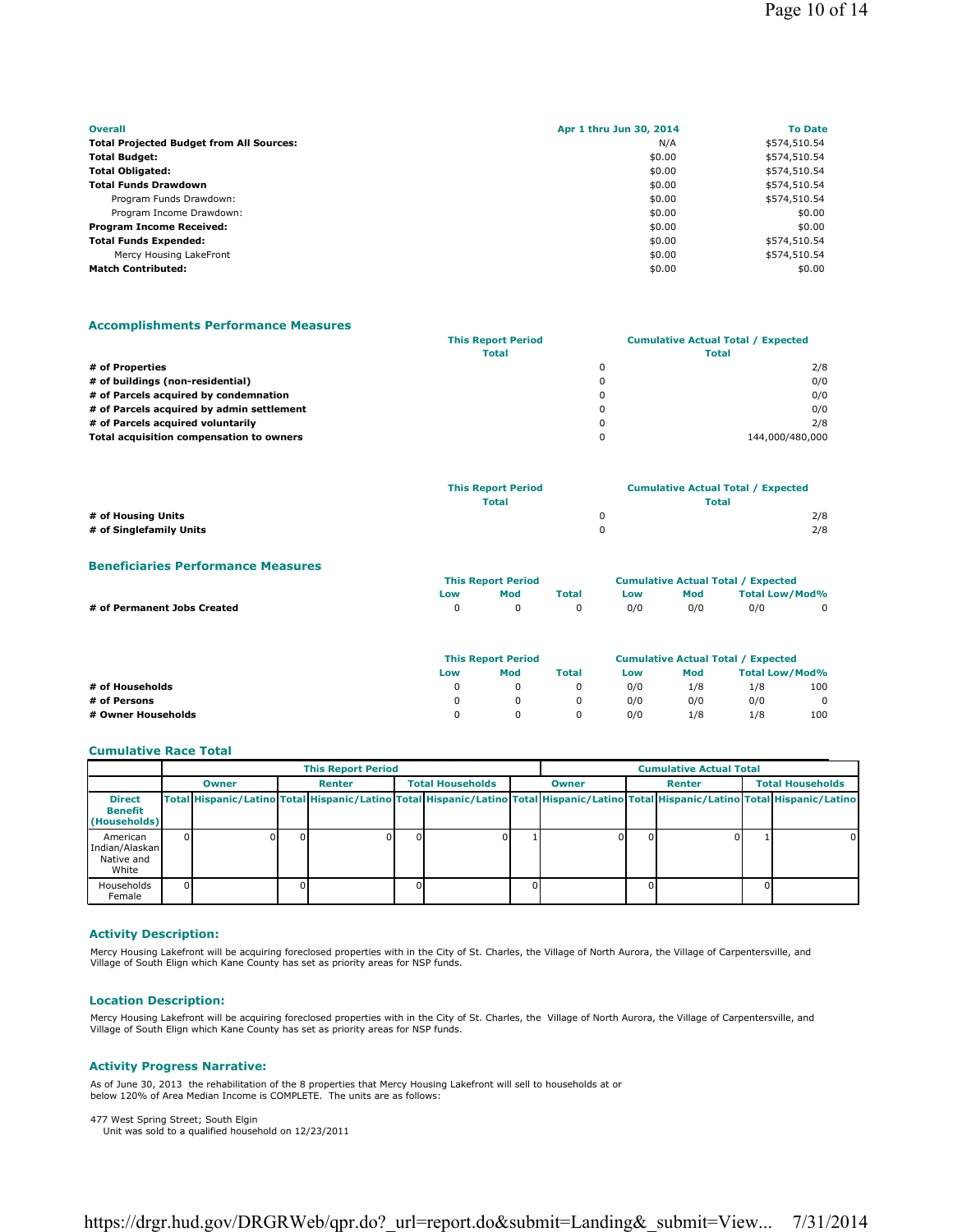| <b>Overall</b>                                  | Apr 1 thru Jun 30, 2014 | <b>To Date</b> |
|-------------------------------------------------|-------------------------|----------------|
| <b>Total Projected Budget from All Sources:</b> | N/A                     | \$574,510.54   |
| <b>Total Budget:</b>                            | \$0.00                  | \$574,510.54   |
| <b>Total Obligated:</b>                         | \$0.00                  | \$574,510.54   |
| <b>Total Funds Drawdown</b>                     | \$0.00                  | \$574,510.54   |
| Program Funds Drawdown:                         | \$0.00                  | \$574,510.54   |
| Program Income Drawdown:                        | \$0.00                  | \$0.00         |
| <b>Program Income Received:</b>                 | \$0.00                  | \$0.00         |
| <b>Total Funds Expended:</b>                    | \$0.00                  | \$574,510.54   |
| Mercy Housing LakeFront                         | \$0.00                  | \$574,510.54   |
| <b>Match Contributed:</b>                       | \$0.00                  | \$0.00         |

## **Accomplishments Performance Measures**

|                                           | <b>This Report Period</b> | <b>Cumulative Actual Total / Expected</b> |                 |  |
|-------------------------------------------|---------------------------|-------------------------------------------|-----------------|--|
|                                           | <b>Total</b>              |                                           |                 |  |
| # of Properties                           |                           | $\Omega$                                  | 2/8             |  |
| # of buildings (non-residential)          |                           | $\mathbf{0}$                              | 0/0             |  |
| # of Parcels acquired by condemnation     |                           | $\Omega$                                  | 0/0             |  |
| # of Parcels acquired by admin settlement |                           | $\Omega$                                  | 0/0             |  |
| # of Parcels acquired voluntarily         |                           | $\mathbf 0$                               | 2/8             |  |
| Total acquisition compensation to owners  |                           | 0                                         | 144,000/480,000 |  |

|                         | <b>This Report Period</b> | <b>Cumulative Actual Total / Expected</b> |     |  |
|-------------------------|---------------------------|-------------------------------------------|-----|--|
|                         | <b>Total</b>              | <b>Total</b>                              |     |  |
| # of Housing Units      |                           |                                           | 2/8 |  |
| # of Singlefamily Units |                           |                                           | 2/8 |  |

#### **Beneficiaries Performance Measures**

|                             | <b>This Report Period</b> |            |       | <b>Cumulative Actual Total / Expected</b> |     |                       |  |
|-----------------------------|---------------------------|------------|-------|-------------------------------------------|-----|-----------------------|--|
|                             | Low                       | Mod        | Total | Low                                       | Mod | <b>Total Low/Mod%</b> |  |
| # of Permanent Jobs Created |                           | $^{\circ}$ |       | 0/0                                       | 0/0 | 0/0                   |  |

|                    | <b>This Report Period</b> |     |              | <b>Cumulative Actual Total / Expected</b> |     |                       |     |
|--------------------|---------------------------|-----|--------------|-------------------------------------------|-----|-----------------------|-----|
|                    | Low                       | Mod | <b>Total</b> | Low                                       | Mod | <b>Total Low/Mod%</b> |     |
| # of Households    |                           |     |              | 0/0                                       | 1/8 | 1/8                   | 100 |
| # of Persons       |                           |     |              | 0/0                                       | 0/0 | 0/0                   | 0   |
| # Owner Households |                           |     |              | 0/0                                       | 1/8 | 1/8                   | 100 |

#### **Cumulative Race Total**

|                                                   | <b>This Report Period</b> |              |  |               |  |                         |  | <b>Cumulative Actual Total</b>                                                                                                      |  |               |                         |          |
|---------------------------------------------------|---------------------------|--------------|--|---------------|--|-------------------------|--|-------------------------------------------------------------------------------------------------------------------------------------|--|---------------|-------------------------|----------|
|                                                   |                           | <b>Owner</b> |  | <b>Renter</b> |  | <b>Total Households</b> |  | <b>Owner</b>                                                                                                                        |  | <b>Renter</b> | <b>Total Households</b> |          |
| <b>Direct</b><br>Benefit<br>(Households)          |                           |              |  |               |  |                         |  | Total Hispanic/Latino Total Hispanic/Latino Total Hispanic/Latino Total Hispanic/Latino Total Hispanic/Latino Total Hispanic/Latino |  |               |                         |          |
| American<br>Indian/Alaskan<br>Native and<br>White |                           |              |  |               |  |                         |  |                                                                                                                                     |  |               |                         | $\Omega$ |
| Households<br>Female                              |                           |              |  |               |  |                         |  |                                                                                                                                     |  |               |                         |          |

# **Activity Description:**

Mercy Housing Lakefront will be acquiring foreclosed properties with in the City of St. Charles, the Village of North Aurora, the Village of Carpentersville, and<br>Village of South Elign which Kane County has set as priority

#### **Location Description:**

Mercy Housing Lakefront will be acquiring foreclosed properties with in the City of St. Charles, the Village of North Aurora, the Village of Carpentersville, and<br>Village of South Elign which Kane County has set as priority

#### **Activity Progress Narrative:**

As of June 30, 2013 the rehabilitation of the 8 properties that Mercy Housing Lakefront will sell to households at or below 120% of Area Median Income is COMPLETE. The units are as follows:

477 West Spring Street; South Elgin Unit was sold to a qualified household on 12/23/2011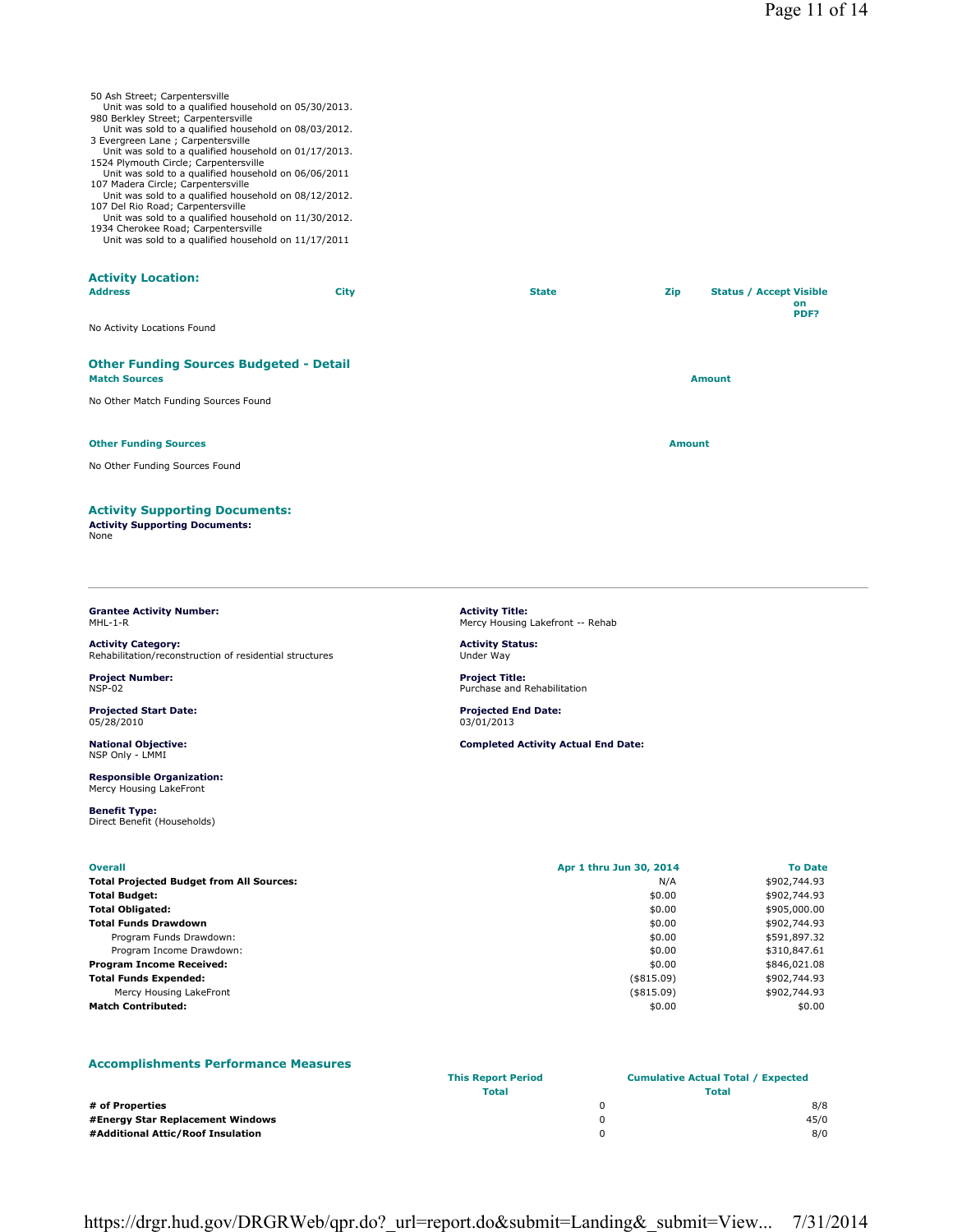## 50 Ash Street; Carpentersville

- Unit was sold to a qualified household on 05/30/2013. 980 Berkley Street; Carpentersville
- Unit was sold to a qualified household on 08/03/2012. 3 Evergreen Lane ; Carpentersville
- Unit was sold to a qualified household on 01/17/2013.
- 1524 Plymouth Circle; Carpentersville Unit was sold to a qualified household on 06/06/2011 107 Madera Circle; Carpentersville
- 
- Unit was sold to a qualified household on 08/12/2012. 107 Del Rio Road; Carpentersville Unit was sold to a qualified household on 11/30/2012.
- 1934 Cherokee Road; Carpentersville Unit was sold to a qualified household on 11/17/2011

## **Activity Location:**

| <b>Address</b>                                                         | <b>City</b> | <b>State</b> | Zip           | <b>Status / Accept Visible</b><br>on<br>PDF? |
|------------------------------------------------------------------------|-------------|--------------|---------------|----------------------------------------------|
| No Activity Locations Found                                            |             |              |               |                                              |
| <b>Other Funding Sources Budgeted - Detail</b><br><b>Match Sources</b> |             |              |               | <b>Amount</b>                                |
| No Other Match Funding Sources Found                                   |             |              |               |                                              |
| <b>Other Funding Sources</b>                                           |             |              | <b>Amount</b> |                                              |
| No Other Funding Sources Found                                         |             |              |               |                                              |
| <b>Activity Supporting Documents:</b>                                  |             |              |               |                                              |

#### **Grantee Activity Number:**  $MHI -1 - R$

**Activity Supporting Documents:**

**Activity Category:** Rehabilitation/reconstruction of residential structures

**Project Number:** NSP-02

None

**Projected Start Date:** 05/28/2010

**National Objective:** NSP Only - LMMI

**Responsible Organization:** Mercy Housing LakeFront

**Benefit Type:** Direct Benefit (Households)

#### **Activity Title:** Mercy Housing Lakefront -- Rehab

**Activity Status:** Under Way

**Project Title:** Purchase and Rehabilitation

**Projected End Date:** 03/01/2013

**Completed Activity Actual End Date:**

| <b>Overall</b>                                  | Apr 1 thru Jun 30, 2014 | <b>To Date</b> |
|-------------------------------------------------|-------------------------|----------------|
| <b>Total Projected Budget from All Sources:</b> | N/A                     | \$902,744.93   |
| <b>Total Budget:</b>                            | \$0.00                  | \$902,744.93   |
| <b>Total Obligated:</b>                         | \$0.00                  | \$905,000.00   |
| <b>Total Funds Drawdown</b>                     | \$0.00                  | \$902,744.93   |
| Program Funds Drawdown:                         | \$0.00                  | \$591,897.32   |
| Program Income Drawdown:                        | \$0.00                  | \$310,847.61   |
| <b>Program Income Received:</b>                 | \$0.00                  | \$846,021.08   |
| <b>Total Funds Expended:</b>                    | $($ \$815.09)           | \$902,744.93   |
| Mercy Housing LakeFront                         | (\$815.09)              | \$902,744.93   |
| <b>Match Contributed:</b>                       | \$0.00                  | \$0.00         |

#### **Accomplishments Performance Measures This Report Period Cumulative Actual Total / Expected Total Total # of Properties** 0 8/8 **#Energy Star Replacement Windows** 0 45/0 **#Additional Attic/Roof Insulation** 0 8/0

https://drgr.hud.gov/DRGRWeb/qpr.do?\_url=report.do&submit=Landing&\_submit=View... 7/31/2014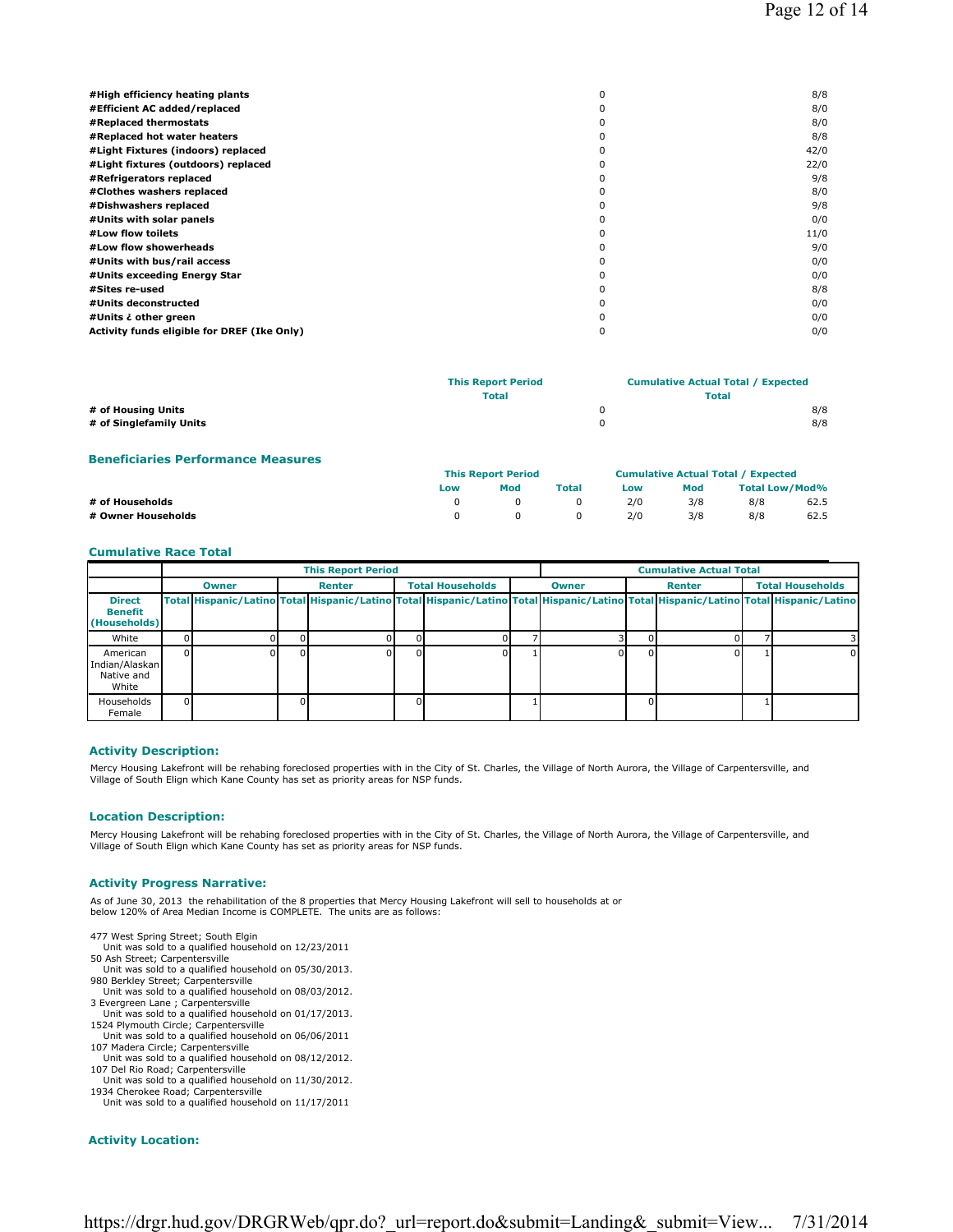| #High efficiency heating plants             | 8/8  |
|---------------------------------------------|------|
| #Efficient AC added/replaced                | 8/0  |
| #Replaced thermostats                       | 8/0  |
| #Replaced hot water heaters                 | 8/8  |
| #Light Fixtures (indoors) replaced          | 42/0 |
| #Light fixtures (outdoors) replaced         | 22/0 |
| #Refrigerators replaced                     | 9/8  |
| #Clothes washers replaced                   | 8/0  |
| #Dishwashers replaced                       | 9/8  |
| #Units with solar panels                    | 0/0  |
| #Low flow toilets                           | 11/0 |
| #Low flow showerheads                       | 9/0  |
| #Units with bus/rail access                 | 0/0  |
| #Units exceeding Energy Star                | 0/0  |
| #Sites re-used                              | 8/8  |
| #Units deconstructed                        | 0/0  |
| #Units ¿ other green                        | 0/0  |
| Activity funds eligible for DREF (Ike Only) | 0/0  |
|                                             |      |

|                                               | <b>This Report Period</b><br><b>Total</b> | <b>Cumulative Actual Total / Expected</b><br><b>Total</b> |            |
|-----------------------------------------------|-------------------------------------------|-----------------------------------------------------------|------------|
| # of Housing Units<br># of Singlefamily Units |                                           |                                                           | 8/8<br>8/8 |
|                                               |                                           |                                                           |            |

# **Beneficiaries Performance Measures**

|                    | <b>This Report Period</b> |     |       | <b>Cumulative Actual Total / Expected</b> |     |                |      |
|--------------------|---------------------------|-----|-------|-------------------------------------------|-----|----------------|------|
|                    | Low                       | Mod | Total | Low                                       | Mod | Total Low/Mod% |      |
| # of Households    |                           |     |       | 2/0                                       | 3/8 | 8/8            | 62.5 |
| # Owner Households |                           |     |       | 2/0                                       | 3/8 | 8/8            | 62.5 |

### **Cumulative Race Total**

|                                                   |              | <b>This Report Period</b> |  | <b>Cumulative Actual Total</b> |  |              |               |  |  |                                                                                                                                     |
|---------------------------------------------------|--------------|---------------------------|--|--------------------------------|--|--------------|---------------|--|--|-------------------------------------------------------------------------------------------------------------------------------------|
|                                                   | <b>Owner</b> | <b>Renter</b>             |  | <b>Total Households</b>        |  | <b>Owner</b> | <b>Renter</b> |  |  | <b>Total Households</b>                                                                                                             |
| <b>Direct</b><br>Benefit<br>(Households)          |              |                           |  |                                |  |              |               |  |  | Total Hispanic/Latino Total Hispanic/Latino Total Hispanic/Latino Total Hispanic/Latino Total Hispanic/Latino Total Hispanic/Latino |
| White                                             |              |                           |  |                                |  |              |               |  |  |                                                                                                                                     |
| American<br>Indian/Alaskan<br>Native and<br>White |              |                           |  |                                |  |              |               |  |  | ΩI                                                                                                                                  |
| Households<br>Female                              |              |                           |  |                                |  |              |               |  |  |                                                                                                                                     |

#### **Activity Description:**

Mercy Housing Lakefront will be rehabing foreclosed properties with in the City of St. Charles, the Village of North Aurora, the Village of Carpentersville, and Village of South Elign which Kane County has set as priority areas for NSP funds.

### **Location Description:**

Mercy Housing Lakefront will be rehabing foreclosed properties with in the City of St. Charles, the Village of North Aurora, the Village of Carpentersville, and Village of South Elign which Kane County has set as priority areas for NSP funds.

#### **Activity Progress Narrative:**

As of June 30, 2013 the rehabilitation of the 8 properties that Mercy Housing Lakefront will sell to households at or below 120% of Area Median Income is COMPLETE. The units are as follows:

- 477 West Spring Street; South Elgin
- Unit was sold to a qualified household on 12/23/2011 50 Ash Street; Carpentersville
- Unit was sold to a qualified household on 05/30/2013.
- 980 Berkley Street; Carpentersville Unit was sold to a qualified household on 08/03/2012.
- 
- 3 Evergreen Lane ; Carpentersville Unit was sold to a qualified household on 01/17/2013.
- 1524 Plymouth Circle; Carpentersville Unit was sold to a qualified household on 06/06/2011 107 Madera Circle; Carpentersville
- Unit was sold to a qualified household on 08/12/2012.
- 107 Del Rio Road; Carpentersville Unit was sold to a qualified household on 11/30/2012. 1934 Cherokee Road; Carpentersville

Unit was sold to a qualified household on 11/17/2011

#### **Activity Location:**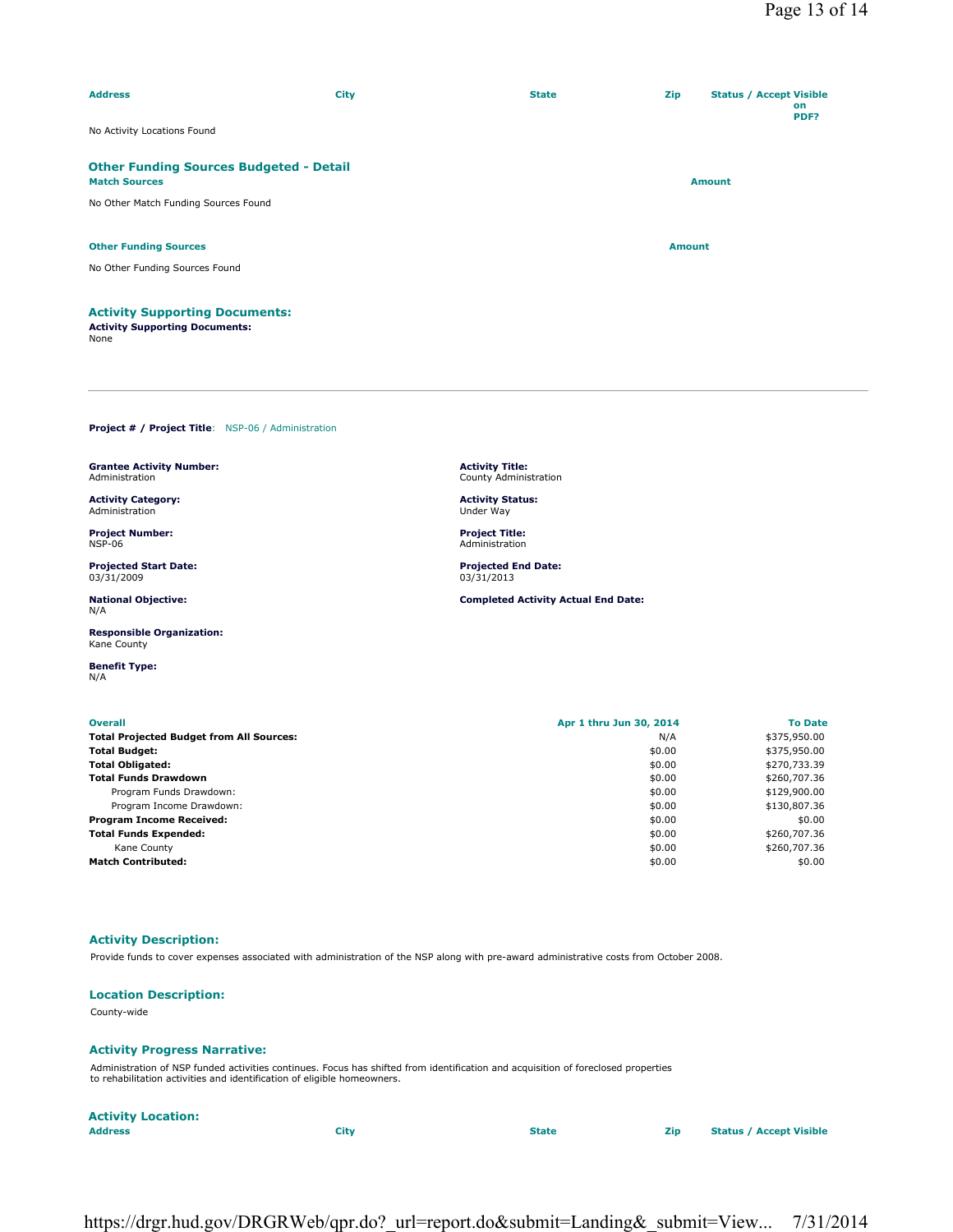| <b>Address</b>                                                                         | <b>City</b> | <b>State</b> | Zip           | <b>Status / Accept Visible</b> | on<br>PDF? |
|----------------------------------------------------------------------------------------|-------------|--------------|---------------|--------------------------------|------------|
| No Activity Locations Found                                                            |             |              |               |                                |            |
| <b>Other Funding Sources Budgeted - Detail</b><br><b>Match Sources</b>                 |             |              |               | <b>Amount</b>                  |            |
| No Other Match Funding Sources Found                                                   |             |              |               |                                |            |
| <b>Other Funding Sources</b>                                                           |             |              | <b>Amount</b> |                                |            |
| No Other Funding Sources Found                                                         |             |              |               |                                |            |
| <b>Activity Supporting Documents:</b><br><b>Activity Supporting Documents:</b><br>None |             |              |               |                                |            |

**Activity Title:** County Administration **Activity Status:** Under Way **Project Title:** Administration **Projected End Date:** 03/31/2013

**Completed Activity Actual End Date:**

**Project # / Project Title**: NSP-06 / Administration

**Grantee Activity Number:** Administration

**Activity Category:** Administration

**Project Number:** NSP-06

**Projected Start Date:** 03/31/2009

**National Objective:** N/A

**Responsible Organization:** Kane County

**Benefit Type:** N/A

| <b>Overall</b>                                  | Apr 1 thru Jun 30, 2014 | <b>To Date</b> |
|-------------------------------------------------|-------------------------|----------------|
| <b>Total Projected Budget from All Sources:</b> | N/A                     | \$375,950.00   |
| <b>Total Budget:</b>                            | \$0.00                  | \$375,950.00   |
| <b>Total Obligated:</b>                         | \$0.00                  | \$270,733.39   |
| <b>Total Funds Drawdown</b>                     | \$0.00                  | \$260,707.36   |
| Program Funds Drawdown:                         | \$0.00                  | \$129,900.00   |
| Program Income Drawdown:                        | \$0.00                  | \$130,807.36   |
| <b>Program Income Received:</b>                 | \$0.00                  | \$0.00         |
| <b>Total Funds Expended:</b>                    | \$0.00                  | \$260,707.36   |
| Kane County                                     | \$0.00                  | \$260,707.36   |
| <b>Match Contributed:</b>                       | \$0.00                  | \$0.00         |
|                                                 |                         |                |

# **Activity Description:**

Provide funds to cover expenses associated with administration of the NSP along with pre-award administrative costs from October 2008.

## **Location Description:**

County-wide

#### **Activity Progress Narrative:**

Administration of NSP funded activities continues. Focus has shifted from identification and acquisition of foreclosed properties to rehabilitation activities and identification of eligible homeowners.

| <b>Activity Location:</b> |      |              |                                |
|---------------------------|------|--------------|--------------------------------|
| <b>Address</b>            | City | <b>State</b> | <b>Status / Accept Visible</b> |